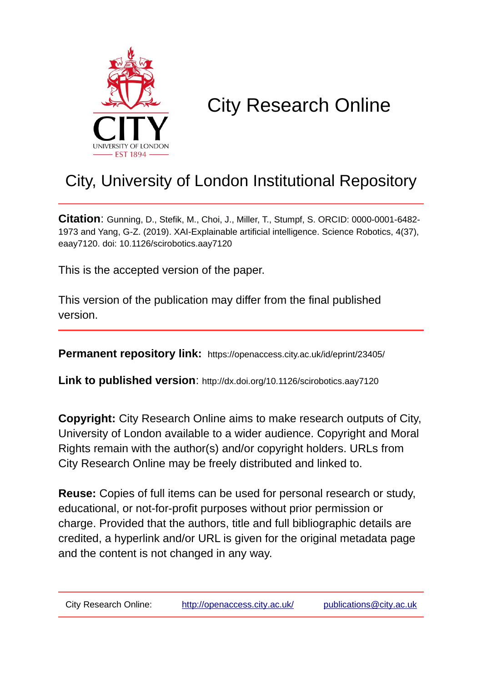

# City Research Online

## City, University of London Institutional Repository

**Citation**: Gunning, D., Stefik, M., Choi, J., Miller, T., Stumpf, S. ORCID: 0000-0001-6482- 1973 and Yang, G-Z. (2019). XAI-Explainable artificial intelligence. Science Robotics, 4(37), eaay7120. doi: 10.1126/scirobotics.aay7120

This is the accepted version of the paper.

This version of the publication may differ from the final published version.

**Permanent repository link:** https://openaccess.city.ac.uk/id/eprint/23405/

**Link to published version**: http://dx.doi.org/10.1126/scirobotics.aay7120

**Copyright:** City Research Online aims to make research outputs of City, University of London available to a wider audience. Copyright and Moral Rights remain with the author(s) and/or copyright holders. URLs from City Research Online may be freely distributed and linked to.

**Reuse:** Copies of full items can be used for personal research or study, educational, or not-for-profit purposes without prior permission or charge. Provided that the authors, title and full bibliographic details are credited, a hyperlink and/or URL is given for the original metadata page and the content is not changed in any way.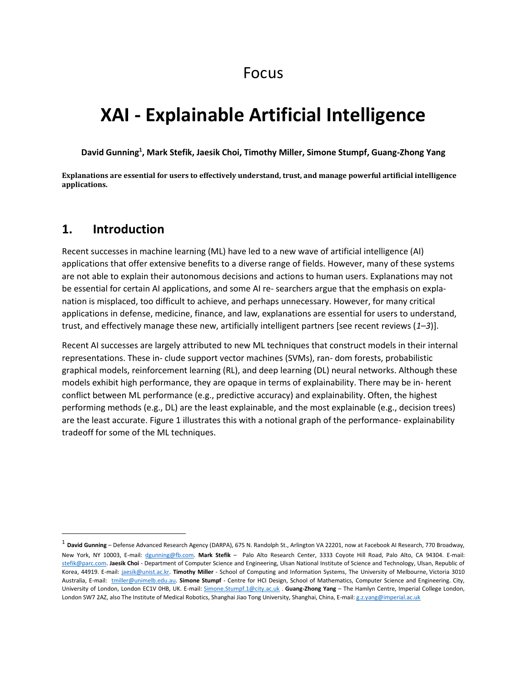### Focus

### **XAI - Explainable Artificial Intelligence**

**David Gunning<sup>1</sup> , Mark Stefik, Jaesik Choi, Timothy Miller, Simone Stumpf, Guang-Zhong Yang**

**Explanations are essential for users to effectively understand, trust, and manage powerful artificial intelligence applications.** 

#### **1. Introduction**

 $\overline{a}$ 

Recent successes in machine learning (ML) have led to a new wave of artificial intelligence (AI) applications that offer extensive benefits to a diverse range of fields. However, many of these systems are not able to explain their autonomous decisions and actions to human users. Explanations may not be essential for certain AI applications, and some AI re- searchers argue that the emphasis on explanation is misplaced, too difficult to achieve, and perhaps unnecessary. However, for many critical applications in defense, medicine, finance, and law, explanations are essential for users to understand, trust, and effectively manage these new, artificially intelligent partners [see recent reviews (*1*–*3*)].

Recent AI successes are largely attributed to new ML techniques that construct models in their internal representations. These in- clude support vector machines (SVMs), ran- dom forests, probabilistic graphical models, reinforcement learning (RL), and deep learning (DL) neural networks. Although these models exhibit high performance, they are opaque in terms of explainability. There may be in- herent conflict between ML performance (e.g., predictive accuracy) and explainability. Often, the highest performing methods (e.g., DL) are the least explainable, and the most explainable (e.g., decision trees) are the least accurate. Figure 1 illustrates this with a notional graph of the performance- explainability tradeoff for some of the ML techniques.

<sup>&</sup>lt;sup>1</sup> **David Gunning** – Defense Advanced Research Agency (DARPA), 675 N. Randolph St., Arlington VA 22201, now at Facebook AI Research, 770 Broadway, New York, NY 10003, E-mail: [dgunning@fb.com.](mailto:dgunning@fb.com) **Mark Stefik** – Palo Alto Research Center, 3333 Coyote Hill Road, Palo Alto, CA 94304. E-mail: [stefik@parc.com.](mailto:stefik@parc.com) **Jaesik Choi** - Department of Computer Science and Engineering, Ulsan National Institute of Science and Technology, Ulsan, Republic of Korea, 44919. E-mail: [jaesik@unist.ac.kr.](mailto:jaesik@unist.ac.kr) **Timothy Miller** - School of Computing and Information Systems, The University of Melbourne, Victoria 3010 Australia, E-mail: [tmiller@unimelb.edu.au.](mailto:tmiller@unimelb.edu.au) **Simone Stumpf** - Centre for HCI Design, School of Mathematics, Computer Science and Engineering. City, University of London, London EC1V 0HB, UK. E-mail: [Simone.Stumpf.1@city.ac.uk](mailto:Simone.Stumpf.1@city.ac.uk) . **Guang-Zhong Yang** – The Hamlyn Centre, Imperial College London, London SW7 2AZ, also The Institute of Medical Robotics, Shanghai Jiao Tong University, Shanghai, China, E-mail[: g.z.yang@imperial.ac.uk](mailto:g.z.yang@imperial.ac.uk)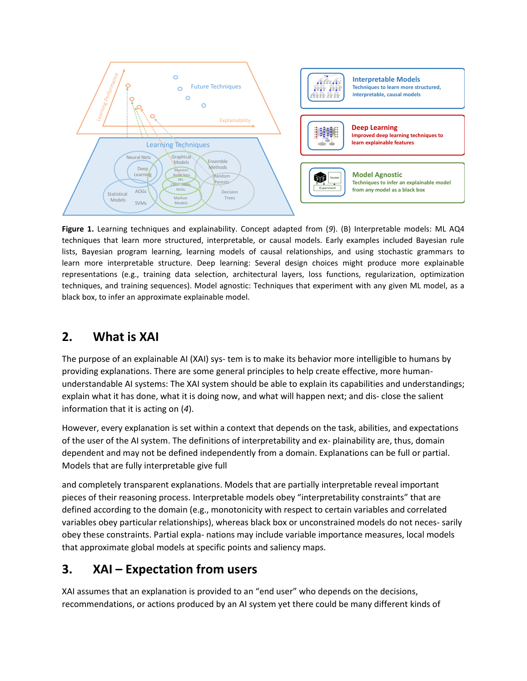

**Figure 1.** Learning techniques and explainability. Concept adapted from (*9*). (B) Interpretable models: ML AQ4 techniques that learn more structured, interpretable, or causal models. Early examples included Bayesian rule lists, Bayesian program learning, learning models of causal relationships, and using stochastic grammars to learn more interpretable structure. Deep learning: Several design choices might produce more explainable representations (e.g., training data selection, architectural layers, loss functions, regularization, optimization techniques, and training sequences). Model agnostic: Techniques that experiment with any given ML model, as a black box, to infer an approximate explainable model.

#### **2. What is XAI**

The purpose of an explainable AI (XAI) sys- tem is to make its behavior more intelligible to humans by providing explanations. There are some general principles to help create effective, more humanunderstandable AI systems: The XAI system should be able to explain its capabilities and understandings; explain what it has done, what it is doing now, and what will happen next; and dis- close the salient information that it is acting on (*4*).

However, every explanation is set within a context that depends on the task, abilities, and expectations of the user of the AI system. The definitions of interpretability and ex- plainability are, thus, domain dependent and may not be defined independently from a domain. Explanations can be full or partial. Models that are fully interpretable give full

and completely transparent explanations. Models that are partially interpretable reveal important pieces of their reasoning process. Interpretable models obey "interpretability constraints" that are defined according to the domain (e.g., monotonicity with respect to certain variables and correlated variables obey particular relationships), whereas black box or unconstrained models do not neces- sarily obey these constraints. Partial expla- nations may include variable importance measures, local models that approximate global models at specific points and saliency maps.

#### **3. XAI – Expectation from users**

XAI assumes that an explanation is provided to an "end user" who depends on the decisions, recommendations, or actions produced by an AI system yet there could be many different kinds of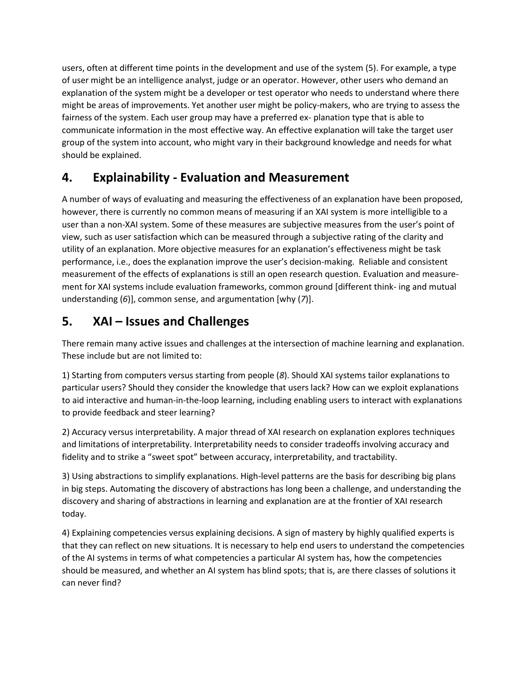users, often at different time points in the development and use of the system (5). For example, a type of user might be an intelligence analyst, judge or an operator. However, other users who demand an explanation of the system might be a developer or test operator who needs to understand where there might be areas of improvements. Yet another user might be policy-makers, who are trying to assess the fairness of the system. Each user group may have a preferred ex- planation type that is able to communicate information in the most effective way. An effective explanation will take the target user group of the system into account, who might vary in their background knowledge and needs for what should be explained.

#### **4. Explainability - Evaluation and Measurement**

A number of ways of evaluating and measuring the effectiveness of an explanation have been proposed, however, there is currently no common means of measuring if an XAI system is more intelligible to a user than a non-XAI system. Some of these measures are subjective measures from the user's point of view, such as user satisfaction which can be measured through a subjective rating of the clarity and utility of an explanation. More objective measures for an explanation's effectiveness might be task performance, i.e., does the explanation improve the user's decision-making. Reliable and consistent measurement of the effects of explanations is still an open research question. Evaluation and measurement for XAI systems include evaluation frameworks, common ground [different think- ing and mutual understanding (*6*)], common sense, and argumentation [why (*7*)].

#### **5. XAI – Issues and Challenges**

There remain many active issues and challenges at the intersection of machine learning and explanation. These include but are not limited to:

1) Starting from computers versus starting from people (*8*). Should XAI systems tailor explanations to particular users? Should they consider the knowledge that users lack? How can we exploit explanations to aid interactive and human-in-the-loop learning, including enabling users to interact with explanations to provide feedback and steer learning?

2) Accuracy versus interpretability. A major thread of XAI research on explanation explores techniques and limitations of interpretability. Interpretability needs to consider tradeoffs involving accuracy and fidelity and to strike a "sweet spot" between accuracy, interpretability, and tractability.

3) Using abstractions to simplify explanations. High-level patterns are the basis for describing big plans in big steps. Automating the discovery of abstractions has long been a challenge, and understanding the discovery and sharing of abstractions in learning and explanation are at the frontier of XAI research today.

4) Explaining competencies versus explaining decisions. A sign of mastery by highly qualified experts is that they can reflect on new situations. It is necessary to help end users to understand the competencies of the AI systems in terms of what competencies a particular AI system has, how the competencies should be measured, and whether an AI system has blind spots; that is, are there classes of solutions it can never find?